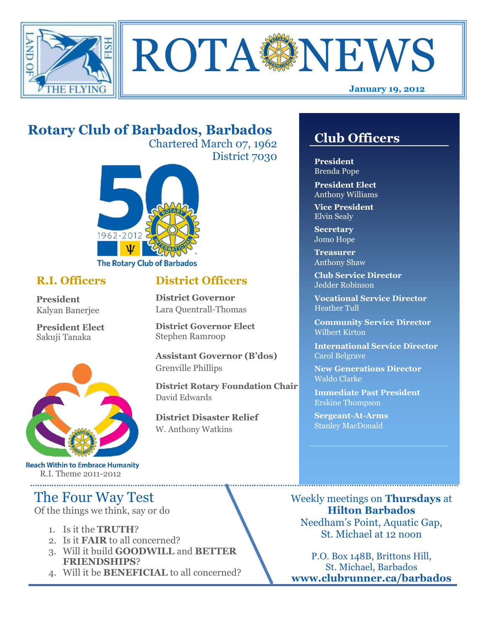



# **Rotary Club of Barbados, Barbados**

Chartered March 07, 1962 District 7030

**District Officers**

**District Governor Elect**

**District Disaster Relief**

W. Anthony Watkins

**Assistant Governor (B'dos)**

**District Rotary Foundation Chair**

**District Governor** Lara Quentrall-Thomas

Stephen Ramroop

Grenville Phillips

David Edwards



### **R.I. Officers**

**President**  Kalyan Banerjee

**President Elect** Sakuji Tanaka



**Reach Within to Embrace Humanity** R.I. Theme 2011-2012

# The Four Way Test

Of the things we think, say or do

- 1. Is it the **TRUTH**?
- 2. Is it **FAIR** to all concerned?
- 3. Will it build **GOODWILL** and **BETTER FRIENDSHIPS**?
- 4. Will it be **BENEFICIAL** to all concerned?

## **Club Officers**

**Club Officers** 

**President** Brenda Pope

**President Elect** Anthony Williams

**Vice President** Elvin Sealy

**Secretary** Jomo Hope

**Treasurer** Anthony Shaw

**Club Service Director** Jedder Robinson

**Vocational Service Director** Heather Tull

**Community Service Director** Wilbert Kirton

**International Service Director** Carol Belgrave

**New Generations Director** Waldo Clarke

**Immediate Past President** Erskine Thompson

**Sergeant-At-Arms** Stanley MacDonald

Weekly meetings on **Thursdays** at **Hilton Barbados** Needham's Point, Aquatic Gap, St. Michael at 12 noon

P.O. Box 148B, Brittons Hill, St. Michael, Barbados **www.clubrunner.ca/barbados**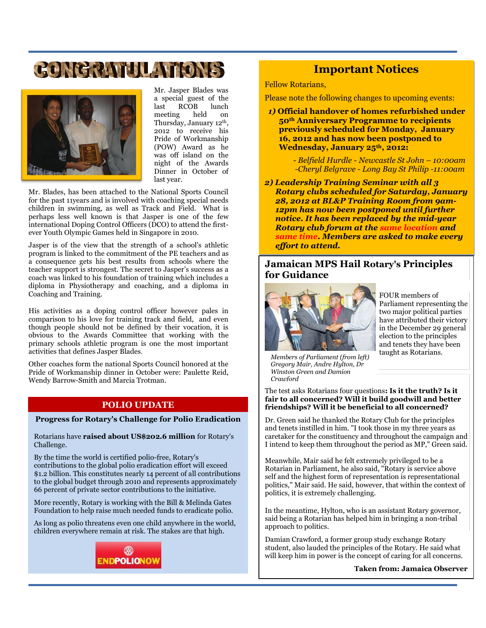# GONGRAND AT ONS



Mr. Jasper Blades was a special guest of the last RCOB lunch meeting held on Thursday, January 12th, 2012 to receive his Pride of Workmanship (POW) Award as he was off island on the night of the Awards Dinner in October of last year.

Mr. Blades, has been attached to the National Sports Council for the past 11years and is involved with coaching special needs children in swimming, as well as Track and Field. What is perhaps less well known is that Jasper is one of the few international Doping Control Officers (DCO) to attend the firstever Youth Olympic Games held in Singapore in 2010.

Jasper is of the view that the strength of a school's athletic program is linked to the commitment of the PE teachers and as a consequence gets his best results from schools where the teacher support is strongest. The secret to Jasper's success as a coach was linked to his foundation of training which includes a diploma in Physiotherapy and coaching, and a diploma in Coaching and Training.

His activities as a doping control officer however pales in comparison to his love for training track and field, and even though people should not be defined by their vocation, it is obvious to the Awards Committee that working with the primary schools athletic program is one the most important activities that defines Jasper Blades.

Other coaches form the national Sports Council honored at the Pride of Workmanship dinner in October were: Paulette Reid, Wendy Barrow-Smith and Marcia Trotman.

#### **POLIO UPDATE**

#### **Progress for Rotary's Challenge for Polio Eradication**

Rotarians have **[raised about US\\$202.6 million](http://www.rotary.org/en/Contribute/Funds/PolioPlusFund/Pages/ridefault.aspx)** for Rotary's Challenge.

By the time the world is certified polio-free, Rotary's contributions to the global polio eradication effort will exceed \$1.2 billion. This constitutes nearly 14 percent of all contributions to the global budget through 2010 and represents approximately 66 percent of private sector contributions to the initiative.

More recently, Rotary is working with the Bill & Melinda Gates Foundation to help raise much needed funds to eradicate polio.

As long as polio threatens even one child anywhere in the world, children everywhere remain at risk. The stakes are that high.



#### **Important Notices**

Fellow Rotarians,

Please note the following changes to upcoming events:

- *1)* **Official handover of homes refurbished under 50th Anniversary Programme to recipients previously scheduled for Monday, January 16, 2012 and has now been postponed to Wednesday, January 25th, 2012:**
	- *- Belfield Hurdle - Newcastle St John – 10:00am -Cheryl Belgrave - Long Bay St Philip -11:00am*
- *2) Leadership Training Seminar with all 3 Rotary clubs scheduled for Saturday, January 28, 2012 at BL&P Training Room from 9am-12pm has now been postponed until further notice. It has been replaced by the mid-year Rotary club forum at the same location and same time. Members are asked to make every effort to attend.*

#### **Jamaican MPS Hail Rotary's Principles for Guidance**



FOUR members of Parliament representing the two major political parties have attributed their victory in the December 29 general election to the principles and tenets they have been taught as Rotarians.

*Members of Parliament (from left) Gregory Mair, Andre Hylton, Dr Winston Green and Damion Crawford*

The test asks Rotarians four questions**: Is it the truth? Is it fair to all concerned? Will it build goodwill and better friendships? Will it be beneficial to all concerned?**

Dr. Green said he thanked the Rotary Club for the principles and tenets instilled in him. "I took those in my three years as caretaker for the constituency and throughout the campaign and I intend to keep them throughout the period as MP," Green said.

Meanwhile, Mair said he felt extremely privileged to be a Rotarian in Parliament, he also said, "Rotary is service above self and the highest form of representation is representational politics," Mair said. He said, however, that within the context of politics, it is extremely challenging.

In the meantime, Hylton, who is an assistant Rotary governor, said being a Rotarian has helped him in bringing a non-tribal approach to politics.

Damian Crawford, a former group study exchange Rotary student, also lauded the principles of the Rotary. He said what will keep him in power is the concept of caring for all concerns.

**Taken from: Jamaica Observer**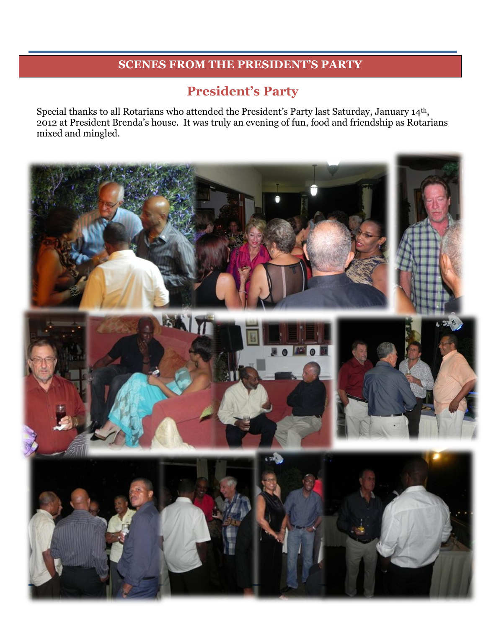## **SCENES FROM THE PRESIDENT'S PARTY**

## **President's Party**

Special thanks to all Rotarians who attended the President's Party last Saturday, January 14th, 2012 at President Brenda's house. It was truly an evening of fun, food and friendship as Rotarians mixed and mingled.